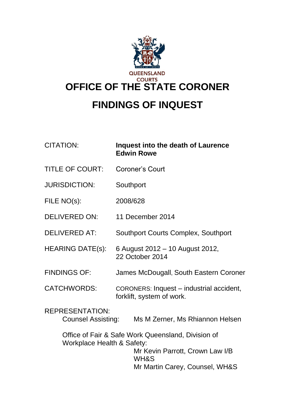

# **FINDINGS OF INQUEST**

## CITATION: **Inquest into the death of Laurence Edwin Rowe**

- TITLE OF COURT: Coroner's Court
- JURISDICTION: Southport
- FILE NO(s): 2008/628
- DELIVERED ON: 11 December 2014
- DELIVERED AT: Southport Courts Complex, Southport
- HEARING DATE(s): 6 August 2012 10 August 2012, 22 October 2014
- FINDINGS OF: James McDougall, South Eastern Coroner
- CATCHWORDS: CORONERS: Inquest industrial accident, forklift, system of work.
- REPRESENTATION: Counsel Assisting: Ms M Zerner, Ms Rhiannon Helsen

Office of Fair & Safe Work Queensland, Division of Workplace Health & Safety:

Mr Kevin Parrott, Crown Law I/B WH&S Mr Martin Carey, Counsel, WH&S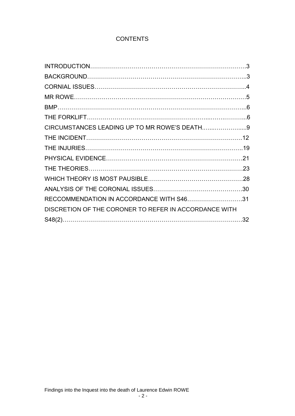## **CONTENTS**

| CIRCUMSTANCES LEADING UP TO MR ROWE'S DEATH9          |  |
|-------------------------------------------------------|--|
|                                                       |  |
|                                                       |  |
|                                                       |  |
|                                                       |  |
|                                                       |  |
|                                                       |  |
| RECCOMMENDATION IN ACCORDANCE WITH S4631              |  |
| DISCRETION OF THE CORONER TO REFER IN ACCORDANCE WITH |  |
|                                                       |  |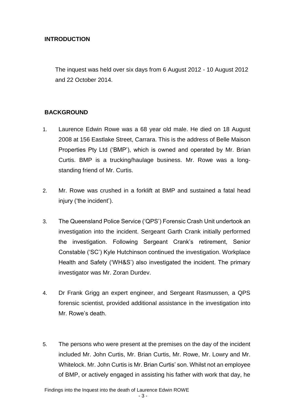## **INTRODUCTION**

The inquest was held over six days from 6 August 2012 - 10 August 2012 and 22 October 2014.

## **BACKGROUND**

- 1. Laurence Edwin Rowe was a 68 year old male. He died on 18 August 2008 at 156 Eastlake Street, Carrara. This is the address of Belle Maison Properties Pty Ltd ('BMP'), which is owned and operated by Mr. Brian Curtis. BMP is a trucking/haulage business. Mr. Rowe was a longstanding friend of Mr. Curtis.
- 2. Mr. Rowe was crushed in a forklift at BMP and sustained a fatal head injury ('the incident').
- 3. The Queensland Police Service ('QPS') Forensic Crash Unit undertook an investigation into the incident. Sergeant Garth Crank initially performed the investigation. Following Sergeant Crank's retirement, Senior Constable ('SC') Kyle Hutchinson continued the investigation. Workplace Health and Safety ('WH&S') also investigated the incident. The primary investigator was Mr. Zoran Durdev.
- 4. Dr Frank Grigg an expert engineer, and Sergeant Rasmussen, a QPS forensic scientist, provided additional assistance in the investigation into Mr. Rowe's death.
- 5. The persons who were present at the premises on the day of the incident included Mr. John Curtis, Mr. Brian Curtis, Mr. Rowe, Mr. Lowry and Mr. Whitelock. Mr. John Curtis is Mr. Brian Curtis' son. Whilst not an employee of BMP, or actively engaged in assisting his father with work that day, he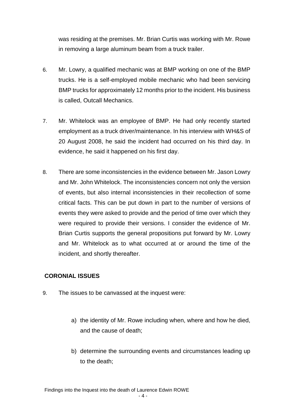was residing at the premises. Mr. Brian Curtis was working with Mr. Rowe in removing a large aluminum beam from a truck trailer.

- 6. Mr. Lowry, a qualified mechanic was at BMP working on one of the BMP trucks. He is a self-employed mobile mechanic who had been servicing BMP trucks for approximately 12 months prior to the incident. His business is called, Outcall Mechanics.
- 7. Mr. Whitelock was an employee of BMP. He had only recently started employment as a truck driver/maintenance. In his interview with WH&S of 20 August 2008, he said the incident had occurred on his third day. In evidence, he said it happened on his first day.
- 8. There are some inconsistencies in the evidence between Mr. Jason Lowry and Mr. John Whitelock. The inconsistencies concern not only the version of events, but also internal inconsistencies in their recollection of some critical facts. This can be put down in part to the number of versions of events they were asked to provide and the period of time over which they were required to provide their versions. I consider the evidence of Mr. Brian Curtis supports the general propositions put forward by Mr. Lowry and Mr. Whitelock as to what occurred at or around the time of the incident, and shortly thereafter.

## **CORONIAL ISSUES**

- 9. The issues to be canvassed at the inquest were:
	- a) the identity of Mr. Rowe including when, where and how he died, and the cause of death;
	- b) determine the surrounding events and circumstances leading up to the death;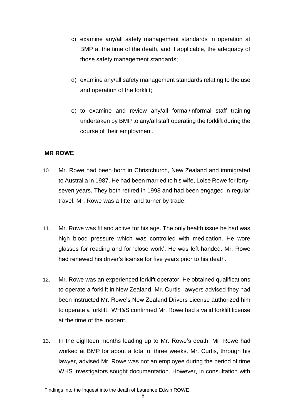- c) examine any/all safety management standards in operation at BMP at the time of the death, and if applicable, the adequacy of those safety management standards;
- d) examine any/all safety management standards relating to the use and operation of the forklift;
- e) to examine and review any/all formal/informal staff training undertaken by BMP to any/all staff operating the forklift during the course of their employment.

### **MR ROWE**

- 10. Mr. Rowe had been born in Christchurch, New Zealand and immigrated to Australia in 1987. He had been married to his wife, Loise Rowe for fortyseven years. They both retired in 1998 and had been engaged in regular travel. Mr. Rowe was a fitter and turner by trade.
- 11. Mr. Rowe was fit and active for his age. The only health issue he had was high blood pressure which was controlled with medication. He wore glasses for reading and for 'close work'. He was left-handed. Mr. Rowe had renewed his driver's license for five years prior to his death.
- 12. Mr. Rowe was an experienced forklift operator. He obtained qualifications to operate a forklift in New Zealand. Mr. Curtis' lawyers advised they had been instructed Mr. Rowe's New Zealand Drivers License authorized him to operate a forklift. WH&S confirmed Mr. Rowe had a valid forklift license at the time of the incident.
- 13. In the eighteen months leading up to Mr. Rowe's death, Mr. Rowe had worked at BMP for about a total of three weeks. Mr. Curtis, through his lawyer, advised Mr. Rowe was not an employee during the period of time WHS investigators sought documentation. However, in consultation with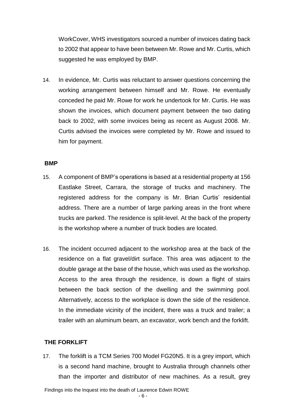WorkCover, WHS investigators sourced a number of invoices dating back to 2002 that appear to have been between Mr. Rowe and Mr. Curtis, which suggested he was employed by BMP.

14. In evidence, Mr. Curtis was reluctant to answer questions concerning the working arrangement between himself and Mr. Rowe. He eventually conceded he paid Mr. Rowe for work he undertook for Mr. Curtis. He was shown the invoices, which document payment between the two dating back to 2002, with some invoices being as recent as August 2008. Mr. Curtis advised the invoices were completed by Mr. Rowe and issued to him for payment.

#### **BMP**

- 15. A component of BMP's operations is based at a residential property at 156 Eastlake Street, Carrara, the storage of trucks and machinery. The registered address for the company is Mr. Brian Curtis' residential address. There are a number of large parking areas in the front where trucks are parked. The residence is split-level. At the back of the property is the workshop where a number of truck bodies are located.
- 16. The incident occurred adjacent to the workshop area at the back of the residence on a flat gravel/dirt surface. This area was adjacent to the double garage at the base of the house, which was used as the workshop. Access to the area through the residence, is down a flight of stairs between the back section of the dwelling and the swimming pool. Alternatively, access to the workplace is down the side of the residence. In the immediate vicinity of the incident, there was a truck and trailer; a trailer with an aluminum beam, an excavator, work bench and the forklift.

#### **THE FORKLIFT**

17. The forklift is a TCM Series 700 Model FG20N5. It is a grey import, which is a second hand machine, brought to Australia through channels other than the importer and distributor of new machines. As a result, grey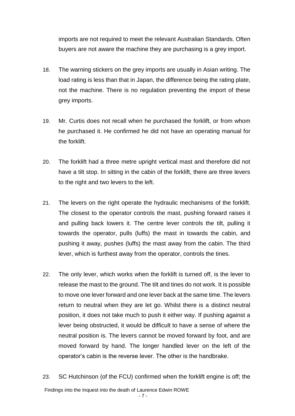imports are not required to meet the relevant Australian Standards. Often buyers are not aware the machine they are purchasing is a grey import.

- 18. The warning stickers on the grey imports are usually in Asian writing. The load rating is less than that in Japan, the difference being the rating plate, not the machine. There is no regulation preventing the import of these grey imports.
- 19. Mr. Curtis does not recall when he purchased the forklift, or from whom he purchased it. He confirmed he did not have an operating manual for the forklift.
- 20. The forklift had a three metre upright vertical mast and therefore did not have a tilt stop. In sitting in the cabin of the forklift, there are three levers to the right and two levers to the left.
- 21. The levers on the right operate the hydraulic mechanisms of the forklift. The closest to the operator controls the mast, pushing forward raises it and pulling back lowers it. The centre lever controls the tilt, pulling it towards the operator, pulls (luffs) the mast in towards the cabin, and pushing it away, pushes (luffs) the mast away from the cabin. The third lever, which is furthest away from the operator, controls the tines.
- 22. The only lever, which works when the forklift is turned off, is the lever to release the mast to the ground. The tilt and tines do not work. It is possible to move one lever forward and one lever back at the same time. The levers return to neutral when they are let go. Whilst there is a distinct neutral position, it does not take much to push it either way. If pushing against a lever being obstructed, it would be difficult to have a sense of where the neutral position is. The levers cannot be moved forward by foot, and are moved forward by hand. The longer handled lever on the left of the operator's cabin is the reverse lever. The other is the handbrake.
- Findings into the Inquest into the death of Laurence Edwin ROWE 23. SC Hutchinson (of the FCU) confirmed when the forklift engine is off; the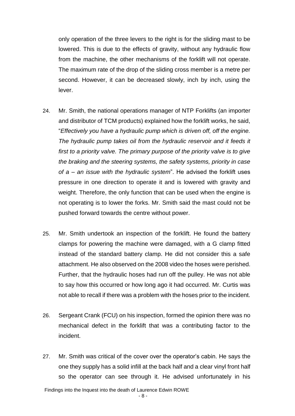only operation of the three levers to the right is for the sliding mast to be lowered. This is due to the effects of gravity, without any hydraulic flow from the machine, the other mechanisms of the forklift will not operate. The maximum rate of the drop of the sliding cross member is a metre per second. However, it can be decreased slowly, inch by inch, using the lever.

- 24. Mr. Smith, the national operations manager of NTP Forklifts (an importer and distributor of TCM products) explained how the forklift works, he said, "*Effectively you have a hydraulic pump which is driven off, off the engine. The hydraulic pump takes oil from the hydraulic reservoir and it feeds it first to a priority valve. The primary purpose of the priority valve is to give the braking and the steering systems, the safety systems, priority in case of a – an issue with the hydraulic system*". He advised the forklift uses pressure in one direction to operate it and is lowered with gravity and weight. Therefore, the only function that can be used when the engine is not operating is to lower the forks. Mr. Smith said the mast could not be pushed forward towards the centre without power.
- 25. Mr. Smith undertook an inspection of the forklift. He found the battery clamps for powering the machine were damaged, with a G clamp fitted instead of the standard battery clamp. He did not consider this a safe attachment. He also observed on the 2008 video the hoses were perished. Further, that the hydraulic hoses had run off the pulley. He was not able to say how this occurred or how long ago it had occurred. Mr. Curtis was not able to recall if there was a problem with the hoses prior to the incident.
- 26. Sergeant Crank (FCU) on his inspection, formed the opinion there was no mechanical defect in the forklift that was a contributing factor to the incident.
- 27. Mr. Smith was critical of the cover over the operator's cabin. He says the one they supply has a solid infill at the back half and a clear vinyl front half so the operator can see through it. He advised unfortunately in his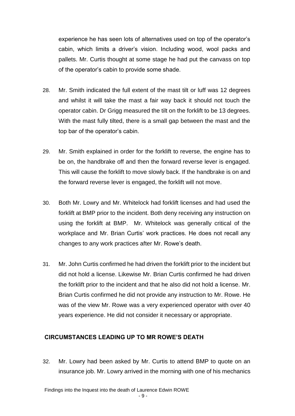experience he has seen lots of alternatives used on top of the operator's cabin, which limits a driver's vision. Including wood, wool packs and pallets. Mr. Curtis thought at some stage he had put the canvass on top of the operator's cabin to provide some shade.

- 28. Mr. Smith indicated the full extent of the mast tilt or luff was 12 degrees and whilst it will take the mast a fair way back it should not touch the operator cabin. Dr Grigg measured the tilt on the forklift to be 13 degrees. With the mast fully tilted, there is a small gap between the mast and the top bar of the operator's cabin.
- 29. Mr. Smith explained in order for the forklift to reverse, the engine has to be on, the handbrake off and then the forward reverse lever is engaged. This will cause the forklift to move slowly back. If the handbrake is on and the forward reverse lever is engaged, the forklift will not move.
- 30. Both Mr. Lowry and Mr. Whitelock had forklift licenses and had used the forklift at BMP prior to the incident. Both deny receiving any instruction on using the forklift at BMP. Mr. Whitelock was generally critical of the workplace and Mr. Brian Curtis' work practices. He does not recall any changes to any work practices after Mr. Rowe's death.
- 31. Mr. John Curtis confirmed he had driven the forklift prior to the incident but did not hold a license. Likewise Mr. Brian Curtis confirmed he had driven the forklift prior to the incident and that he also did not hold a license. Mr. Brian Curtis confirmed he did not provide any instruction to Mr. Rowe. He was of the view Mr. Rowe was a very experienced operator with over 40 years experience. He did not consider it necessary or appropriate.

### **CIRCUMSTANCES LEADING UP TO MR ROWE'S DEATH**

32. Mr. Lowry had been asked by Mr. Curtis to attend BMP to quote on an insurance job. Mr. Lowry arrived in the morning with one of his mechanics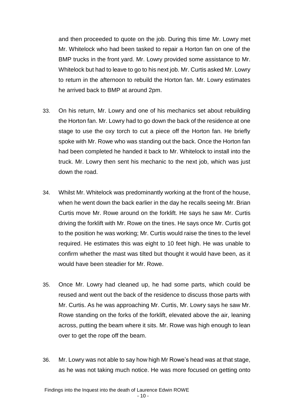and then proceeded to quote on the job. During this time Mr. Lowry met Mr. Whitelock who had been tasked to repair a Horton fan on one of the BMP trucks in the front yard. Mr. Lowry provided some assistance to Mr. Whitelock but had to leave to go to his next job. Mr. Curtis asked Mr. Lowry to return in the afternoon to rebuild the Horton fan. Mr. Lowry estimates he arrived back to BMP at around 2pm.

- 33. On his return, Mr. Lowry and one of his mechanics set about rebuilding the Horton fan. Mr. Lowry had to go down the back of the residence at one stage to use the oxy torch to cut a piece off the Horton fan. He briefly spoke with Mr. Rowe who was standing out the back. Once the Horton fan had been completed he handed it back to Mr. Whitelock to install into the truck. Mr. Lowry then sent his mechanic to the next job, which was just down the road.
- 34. Whilst Mr. Whitelock was predominantly working at the front of the house, when he went down the back earlier in the day he recalls seeing Mr. Brian Curtis move Mr. Rowe around on the forklift. He says he saw Mr. Curtis driving the forklift with Mr. Rowe on the tines. He says once Mr. Curtis got to the position he was working; Mr. Curtis would raise the tines to the level required. He estimates this was eight to 10 feet high. He was unable to confirm whether the mast was tilted but thought it would have been, as it would have been steadier for Mr. Rowe.
- 35. Once Mr. Lowry had cleaned up, he had some parts, which could be reused and went out the back of the residence to discuss those parts with Mr. Curtis. As he was approaching Mr. Curtis, Mr. Lowry says he saw Mr. Rowe standing on the forks of the forklift, elevated above the air, leaning across, putting the beam where it sits. Mr. Rowe was high enough to lean over to get the rope off the beam.
- 36. Mr. Lowry was not able to say how high Mr Rowe's head was at that stage, as he was not taking much notice. He was more focused on getting onto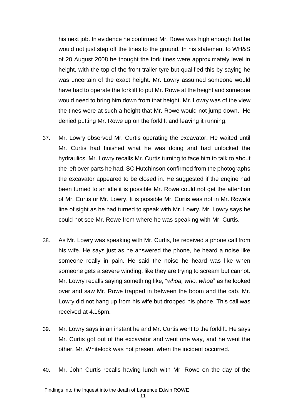his next job. In evidence he confirmed Mr. Rowe was high enough that he would not just step off the tines to the ground. In his statement to WH&S of 20 August 2008 he thought the fork tines were approximately level in height, with the top of the front trailer tyre but qualified this by saying he was uncertain of the exact height. Mr. Lowry assumed someone would have had to operate the forklift to put Mr. Rowe at the height and someone would need to bring him down from that height. Mr. Lowry was of the view the tines were at such a height that Mr. Rowe would not jump down. He denied putting Mr. Rowe up on the forklift and leaving it running.

- 37. Mr. Lowry observed Mr. Curtis operating the excavator. He waited until Mr. Curtis had finished what he was doing and had unlocked the hydraulics. Mr. Lowry recalls Mr. Curtis turning to face him to talk to about the left over parts he had. SC Hutchinson confirmed from the photographs the excavator appeared to be closed in. He suggested if the engine had been turned to an idle it is possible Mr. Rowe could not get the attention of Mr. Curtis or Mr. Lowry. It is possible Mr. Curtis was not in Mr. Rowe's line of sight as he had turned to speak with Mr. Lowry. Mr. Lowry says he could not see Mr. Rowe from where he was speaking with Mr. Curtis.
- 38. As Mr. Lowry was speaking with Mr. Curtis, he received a phone call from his wife. He says just as he answered the phone, he heard a noise like someone really in pain. He said the noise he heard was like when someone gets a severe winding, like they are trying to scream but cannot. Mr. Lowry recalls saying something like, "*whoa, who, whoa*" as he looked over and saw Mr. Rowe trapped in between the boom and the cab. Mr. Lowry did not hang up from his wife but dropped his phone. This call was received at 4.16pm.
- 39. Mr. Lowry says in an instant he and Mr. Curtis went to the forklift. He says Mr. Curtis got out of the excavator and went one way, and he went the other. Mr. Whitelock was not present when the incident occurred.
- 40. Mr. John Curtis recalls having lunch with Mr. Rowe on the day of the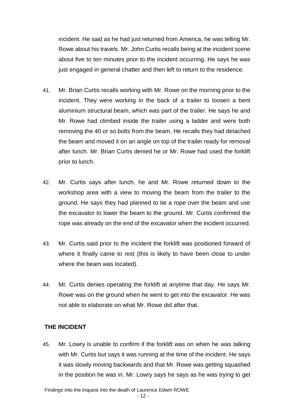incident. He said as he had just returned from America, he was telling Mr. Rowe about his travels. Mr. John Curtis recalls being at the incident scene about five to ten minutes prior to the incident occurring. He says he was just engaged in general chatter and then left to return to the residence.

- 41. Mr. Brian Curtis recalls working with Mr. Rowe on the morning prior to the incident. They were working in the back of a trailer to loosen a bent aluminium structural beam, which was part of the trailer. He says he and Mr. Rowe had climbed inside the trailer using a ladder and were both removing the 40 or so bolts from the beam. He recalls they had detached the beam and moved it on an angle on top of the trailer ready for removal after lunch. Mr. Brian Curtis denied he or Mr. Rowe had used the forklift prior to lunch.
- 42. Mr. Curtis says after lunch, he and Mr. Rowe returned down to the workshop area with a view to moving the beam from the trailer to the ground. He says they had planned to tie a rope over the beam and use the excavator to lower the beam to the ground. Mr. Curtis confirmed the rope was already on the end of the excavator when the incident occurred.
- 43. Mr. Curtis said prior to the incident the forklift was positioned forward of where it finally came to rest (this is likely to have been close to under where the beam was located).
- 44. Mr. Curtis denies operating the forklift at anytime that day. He says Mr. Rowe was on the ground when he went to get into the excavator. He was not able to elaborate on what Mr. Rowe did after that.

## **THE INCIDENT**

45. Mr. Lowry is unable to confirm if the forklift was on when he was talking with Mr. Curtis but says it was running at the time of the incident. He says it was slowly moving backwards and that Mr. Rowe was getting squashed in the position he was in. Mr. Lowry says he says as he was trying to get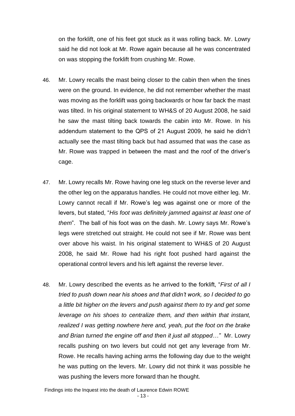on the forklift, one of his feet got stuck as it was rolling back. Mr. Lowry said he did not look at Mr. Rowe again because all he was concentrated on was stopping the forklift from crushing Mr. Rowe.

- 46. Mr. Lowry recalls the mast being closer to the cabin then when the tines were on the ground. In evidence, he did not remember whether the mast was moving as the forklift was going backwards or how far back the mast was tilted. In his original statement to WH&S of 20 August 2008, he said he saw the mast tilting back towards the cabin into Mr. Rowe. In his addendum statement to the QPS of 21 August 2009, he said he didn't actually see the mast tilting back but had assumed that was the case as Mr. Rowe was trapped in between the mast and the roof of the driver's cage.
- 47. Mr. Lowry recalls Mr. Rowe having one leg stuck on the reverse lever and the other leg on the apparatus handles. He could not move either leg. Mr. Lowry cannot recall if Mr. Rowe's leg was against one or more of the levers, but stated, "*His foot was definitely jammed against at least one of them*". The ball of his foot was on the dash. Mr. Lowry says Mr. Rowe's legs were stretched out straight. He could not see if Mr. Rowe was bent over above his waist. In his original statement to WH&S of 20 August 2008, he said Mr. Rowe had his right foot pushed hard against the operational control levers and his left against the reverse lever.
- 48. Mr. Lowry described the events as he arrived to the forklift, "*First of all I tried to push down near his shoes and that didn't work, so I decided to go a little bit higher on the levers and push against them to try and get some leverage on his shoes to centralize them, and then within that instant, realized I was getting nowhere here and, yeah, put the foot on the brake and Brian turned the engine off and then it just all stopped…"* Mr. Lowry recalls pushing on two levers but could not get any leverage from Mr. Rowe. He recalls having aching arms the following day due to the weight he was putting on the levers. Mr. Lowry did not think it was possible he was pushing the levers more forward than he thought.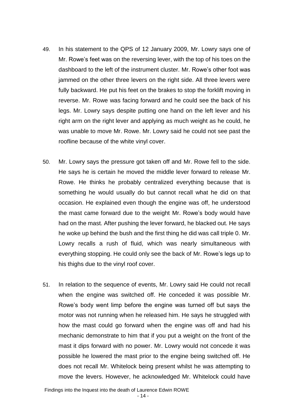- 49. In his statement to the QPS of 12 January 2009, Mr. Lowry says one of Mr. Rowe's feet was on the reversing lever, with the top of his toes on the dashboard to the left of the instrument cluster. Mr. Rowe's other foot was jammed on the other three levers on the right side. All three levers were fully backward. He put his feet on the brakes to stop the forklift moving in reverse. Mr. Rowe was facing forward and he could see the back of his legs. Mr. Lowry says despite putting one hand on the left lever and his right arm on the right lever and applying as much weight as he could, he was unable to move Mr. Rowe. Mr. Lowry said he could not see past the roofline because of the white vinyl cover.
- 50. Mr. Lowry says the pressure got taken off and Mr. Rowe fell to the side. He says he is certain he moved the middle lever forward to release Mr. Rowe. He thinks he probably centralized everything because that is something he would usually do but cannot recall what he did on that occasion. He explained even though the engine was off, he understood the mast came forward due to the weight Mr. Rowe's body would have had on the mast. After pushing the lever forward, he blacked out. He says he woke up behind the bush and the first thing he did was call triple 0. Mr. Lowry recalls a rush of fluid, which was nearly simultaneous with everything stopping. He could only see the back of Mr. Rowe's legs up to his thighs due to the vinyl roof cover.
- 51. In relation to the sequence of events, Mr. Lowry said He could not recall when the engine was switched off. He conceded it was possible Mr. Rowe's body went limp before the engine was turned off but says the motor was not running when he released him. He says he struggled with how the mast could go forward when the engine was off and had his mechanic demonstrate to him that if you put a weight on the front of the mast it dips forward with no power. Mr. Lowry would not concede it was possible he lowered the mast prior to the engine being switched off. He does not recall Mr. Whitelock being present whilst he was attempting to move the levers. However, he acknowledged Mr. Whitelock could have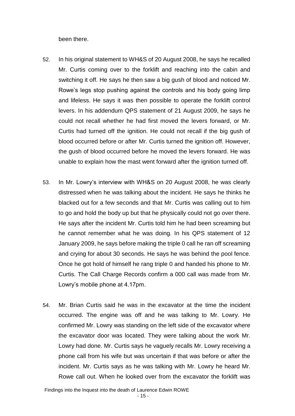been there.

- 52. In his original statement to WH&S of 20 August 2008, he says he recalled Mr. Curtis coming over to the forklift and reaching into the cabin and switching it off. He says he then saw a big gush of blood and noticed Mr. Rowe's legs stop pushing against the controls and his body going limp and lifeless. He says it was then possible to operate the forklift control levers. In his addendum QPS statement of 21 August 2009, he says he could not recall whether he had first moved the levers forward, or Mr. Curtis had turned off the ignition. He could not recall if the big gush of blood occurred before or after Mr. Curtis turned the ignition off. However, the gush of blood occurred before he moved the levers forward. He was unable to explain how the mast went forward after the ignition turned off.
- 53. In Mr. Lowry's interview with WH&S on 20 August 2008, he was clearly distressed when he was talking about the incident. He says he thinks he blacked out for a few seconds and that Mr. Curtis was calling out to him to go and hold the body up but that he physically could not go over there. He says after the incident Mr. Curtis told him he had been screaming but he cannot remember what he was doing. In his QPS statement of 12 January 2009, he says before making the triple 0 call he ran off screaming and crying for about 30 seconds. He says he was behind the pool fence. Once he got hold of himself he rang triple 0 and handed his phone to Mr. Curtis. The Call Charge Records confirm a 000 call was made from Mr. Lowry's mobile phone at 4.17pm.
- 54. Mr. Brian Curtis said he was in the excavator at the time the incident occurred. The engine was off and he was talking to Mr. Lowry. He confirmed Mr. Lowry was standing on the left side of the excavator where the excavator door was located. They were talking about the work Mr. Lowry had done. Mr. Curtis says he vaguely recalls Mr. Lowry receiving a phone call from his wife but was uncertain if that was before or after the incident. Mr. Curtis says as he was talking with Mr. Lowry he heard Mr. Rowe call out. When he looked over from the excavator the forklift was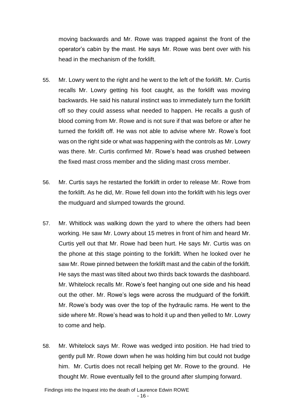moving backwards and Mr. Rowe was trapped against the front of the operator's cabin by the mast. He says Mr. Rowe was bent over with his head in the mechanism of the forklift.

- 55. Mr. Lowry went to the right and he went to the left of the forklift. Mr. Curtis recalls Mr. Lowry getting his foot caught, as the forklift was moving backwards. He said his natural instinct was to immediately turn the forklift off so they could assess what needed to happen. He recalls a gush of blood coming from Mr. Rowe and is not sure if that was before or after he turned the forklift off. He was not able to advise where Mr. Rowe's foot was on the right side or what was happening with the controls as Mr. Lowry was there. Mr. Curtis confirmed Mr. Rowe's head was crushed between the fixed mast cross member and the sliding mast cross member.
- 56. Mr. Curtis says he restarted the forklift in order to release Mr. Rowe from the forklift. As he did, Mr. Rowe fell down into the forklift with his legs over the mudguard and slumped towards the ground.
- 57. Mr. Whitlock was walking down the yard to where the others had been working. He saw Mr. Lowry about 15 metres in front of him and heard Mr. Curtis yell out that Mr. Rowe had been hurt. He says Mr. Curtis was on the phone at this stage pointing to the forklift. When he looked over he saw Mr. Rowe pinned between the forklift mast and the cabin of the forklift. He says the mast was tilted about two thirds back towards the dashboard. Mr. Whitelock recalls Mr. Rowe's feet hanging out one side and his head out the other. Mr. Rowe's legs were across the mudguard of the forklift. Mr. Rowe's body was over the top of the hydraulic rams. He went to the side where Mr. Rowe's head was to hold it up and then yelled to Mr. Lowry to come and help.
- 58. Mr. Whitelock says Mr. Rowe was wedged into position. He had tried to gently pull Mr. Rowe down when he was holding him but could not budge him. Mr. Curtis does not recall helping get Mr. Rowe to the ground. He thought Mr. Rowe eventually fell to the ground after slumping forward.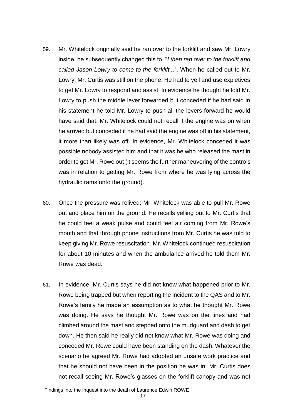- 59. Mr. Whitelock originally said he ran over to the forklift and saw Mr. Lowry inside, he subsequently changed this to, "*I then ran over to the forklift and called Jason Lowry to come to the forklift...*". When he called out to Mr. Lowry, Mr. Curtis was still on the phone. He had to yell and use expletives to get Mr. Lowry to respond and assist. In evidence he thought he told Mr. Lowry to push the middle lever forwarded but conceded if he had said in his statement he told Mr. Lowry to push all the levers forward he would have said that. Mr. Whitelock could not recall if the engine was on when he arrived but conceded if he had said the engine was off in his statement, it more than likely was off. In evidence, Mr. Whitelock conceded it was possible nobody assisted him and that it was he who released the mast in order to get Mr. Rowe out (it seems the further maneuvering of the controls was in relation to getting Mr. Rowe from where he was lying across the hydraulic rams onto the ground).
- 60. Once the pressure was relived; Mr. Whitelock was able to pull Mr. Rowe out and place him on the ground. He recalls yelling out to Mr. Curtis that he could feel a weak pulse and could feel air coming from Mr. Rowe's mouth and that through phone instructions from Mr. Curtis he was told to keep giving Mr. Rowe resuscitation. Mr. Whitelock continued resuscitation for about 10 minutes and when the ambulance arrived he told them Mr. Rowe was dead.
- 61. In evidence, Mr. Curtis says he did not know what happened prior to Mr. Rowe being trapped but when reporting the incident to the QAS and to Mr. Rowe's family he made an assumption as to what he thought Mr. Rowe was doing. He says he thought Mr. Rowe was on the tines and had climbed around the mast and stepped onto the mudguard and dash to get down. He then said he really did not know what Mr. Rowe was doing and conceded Mr. Rowe could have been standing on the dash. Whatever the scenario he agreed Mr. Rowe had adopted an unsafe work practice and that he should not have been in the position he was in. Mr. Curtis does not recall seeing Mr. Rowe's glasses on the forklift canopy and was not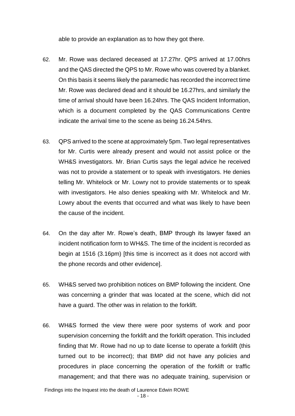able to provide an explanation as to how they got there.

- 62. Mr. Rowe was declared deceased at 17.27hr. QPS arrived at 17.00hrs and the QAS directed the QPS to Mr. Rowe who was covered by a blanket. On this basis it seems likely the paramedic has recorded the incorrect time Mr. Rowe was declared dead and it should be 16.27hrs, and similarly the time of arrival should have been 16.24hrs. The QAS Incident Information, which is a document completed by the QAS Communications Centre indicate the arrival time to the scene as being 16.24.54hrs.
- 63. QPS arrived to the scene at approximately 5pm. Two legal representatives for Mr. Curtis were already present and would not assist police or the WH&S investigators. Mr. Brian Curtis says the legal advice he received was not to provide a statement or to speak with investigators. He denies telling Mr. Whitelock or Mr. Lowry not to provide statements or to speak with investigators. He also denies speaking with Mr. Whitelock and Mr. Lowry about the events that occurred and what was likely to have been the cause of the incident.
- 64. On the day after Mr. Rowe's death, BMP through its lawyer faxed an incident notification form to WH&S. The time of the incident is recorded as begin at 1516 (3.16pm) [this time is incorrect as it does not accord with the phone records and other evidence].
- 65. WH&S served two prohibition notices on BMP following the incident. One was concerning a grinder that was located at the scene, which did not have a guard. The other was in relation to the forklift.
- 66. WH&S formed the view there were poor systems of work and poor supervision concerning the forklift and the forklift operation. This included finding that Mr. Rowe had no up to date license to operate a forklift (this turned out to be incorrect); that BMP did not have any policies and procedures in place concerning the operation of the forklift or traffic management; and that there was no adequate training, supervision or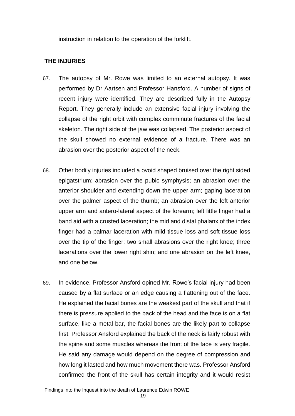instruction in relation to the operation of the forklift.

## **THE INJURIES**

- 67. The autopsy of Mr. Rowe was limited to an external autopsy. It was performed by Dr Aartsen and Professor Hansford. A number of signs of recent injury were identified. They are described fully in the Autopsy Report. They generally include an extensive facial injury involving the collapse of the right orbit with complex comminute fractures of the facial skeleton. The right side of the jaw was collapsed. The posterior aspect of the skull showed no external evidence of a fracture. There was an abrasion over the posterior aspect of the neck.
- 68. Other bodily injuries included a ovoid shaped bruised over the right sided epigatstrium; abrasion over the pubic symphysis; an abrasion over the anterior shoulder and extending down the upper arm; gaping laceration over the palmer aspect of the thumb; an abrasion over the left anterior upper arm and antero-lateral aspect of the forearm; left little finger had a band aid with a crusted laceration; the mid and distal phalanx of the index finger had a palmar laceration with mild tissue loss and soft tissue loss over the tip of the finger; two small abrasions over the right knee; three lacerations over the lower right shin; and one abrasion on the left knee, and one below.
- 69. In evidence, Professor Ansford opined Mr. Rowe's facial injury had been caused by a flat surface or an edge causing a flattening out of the face. He explained the facial bones are the weakest part of the skull and that if there is pressure applied to the back of the head and the face is on a flat surface, like a metal bar, the facial bones are the likely part to collapse first. Professor Ansford explained the back of the neck is fairly robust with the spine and some muscles whereas the front of the face is very fragile. He said any damage would depend on the degree of compression and how long it lasted and how much movement there was. Professor Ansford confirmed the front of the skull has certain integrity and it would resist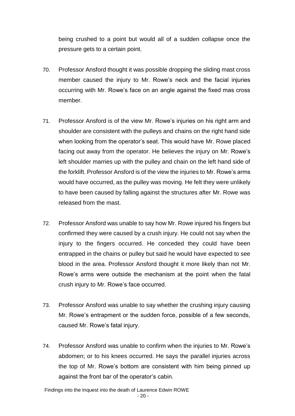being crushed to a point but would all of a sudden collapse once the pressure gets to a certain point.

- 70. Professor Ansford thought it was possible dropping the sliding mast cross member caused the injury to Mr. Rowe's neck and the facial injuries occurring with Mr. Rowe's face on an angle against the fixed mas cross member.
- 71. Professor Ansford is of the view Mr. Rowe's injuries on his right arm and shoulder are consistent with the pulleys and chains on the right hand side when looking from the operator's seat. This would have Mr. Rowe placed facing out away from the operator. He believes the injury on Mr. Rowe's left shoulder marries up with the pulley and chain on the left hand side of the forklift. Professor Ansford is of the view the injuries to Mr. Rowe's arms would have occurred, as the pulley was moving. He felt they were unlikely to have been caused by falling against the structures after Mr. Rowe was released from the mast.
- 72. Professor Ansford was unable to say how Mr. Rowe injured his fingers but confirmed they were caused by a crush injury. He could not say when the injury to the fingers occurred. He conceded they could have been entrapped in the chains or pulley but said he would have expected to see blood in the area. Professor Ansford thought it more likely than not Mr. Rowe's arms were outside the mechanism at the point when the fatal crush injury to Mr. Rowe's face occurred.
- 73. Professor Ansford was unable to say whether the crushing injury causing Mr. Rowe's entrapment or the sudden force, possible of a few seconds, caused Mr. Rowe's fatal injury.
- 74. Professor Ansford was unable to confirm when the injuries to Mr. Rowe's abdomen; or to his knees occurred. He says the parallel injuries across the top of Mr. Rowe's bottom are consistent with him being pinned up against the front bar of the operator's cabin.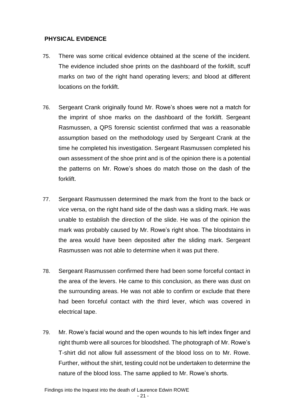### **PHYSICAL EVIDENCE**

- 75. There was some critical evidence obtained at the scene of the incident. The evidence included shoe prints on the dashboard of the forklift, scuff marks on two of the right hand operating levers; and blood at different locations on the forklift.
- 76. Sergeant Crank originally found Mr. Rowe's shoes were not a match for the imprint of shoe marks on the dashboard of the forklift. Sergeant Rasmussen, a QPS forensic scientist confirmed that was a reasonable assumption based on the methodology used by Sergeant Crank at the time he completed his investigation. Sergeant Rasmussen completed his own assessment of the shoe print and is of the opinion there is a potential the patterns on Mr. Rowe's shoes do match those on the dash of the forklift.
- 77. Sergeant Rasmussen determined the mark from the front to the back or vice versa, on the right hand side of the dash was a sliding mark. He was unable to establish the direction of the slide. He was of the opinion the mark was probably caused by Mr. Rowe's right shoe. The bloodstains in the area would have been deposited after the sliding mark. Sergeant Rasmussen was not able to determine when it was put there.
- 78. Sergeant Rasmussen confirmed there had been some forceful contact in the area of the levers. He came to this conclusion, as there was dust on the surrounding areas. He was not able to confirm or exclude that there had been forceful contact with the third lever, which was covered in electrical tape.
- 79. Mr. Rowe's facial wound and the open wounds to his left index finger and right thumb were all sources for bloodshed. The photograph of Mr. Rowe's T-shirt did not allow full assessment of the blood loss on to Mr. Rowe. Further, without the shirt, testing could not be undertaken to determine the nature of the blood loss. The same applied to Mr. Rowe's shorts.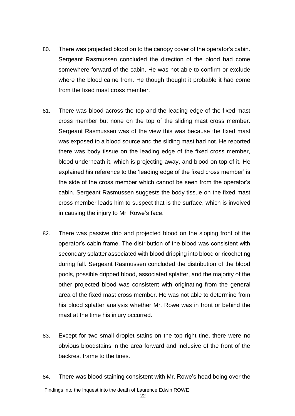- 80. There was projected blood on to the canopy cover of the operator's cabin. Sergeant Rasmussen concluded the direction of the blood had come somewhere forward of the cabin. He was not able to confirm or exclude where the blood came from. He though thought it probable it had come from the fixed mast cross member.
- 81. There was blood across the top and the leading edge of the fixed mast cross member but none on the top of the sliding mast cross member. Sergeant Rasmussen was of the view this was because the fixed mast was exposed to a blood source and the sliding mast had not. He reported there was body tissue on the leading edge of the fixed cross member, blood underneath it, which is projecting away, and blood on top of it. He explained his reference to the 'leading edge of the fixed cross member' is the side of the cross member which cannot be seen from the operator's cabin. Sergeant Rasmussen suggests the body tissue on the fixed mast cross member leads him to suspect that is the surface, which is involved in causing the injury to Mr. Rowe's face.
- 82. There was passive drip and projected blood on the sloping front of the operator's cabin frame. The distribution of the blood was consistent with secondary splatter associated with blood dripping into blood or ricocheting during fall. Sergeant Rasmussen concluded the distribution of the blood pools, possible dripped blood, associated splatter, and the majority of the other projected blood was consistent with originating from the general area of the fixed mast cross member. He was not able to determine from his blood splatter analysis whether Mr. Rowe was in front or behind the mast at the time his injury occurred.
- 83. Except for two small droplet stains on the top right tine, there were no obvious bloodstains in the area forward and inclusive of the front of the backrest frame to the tines.
- 84. There was blood staining consistent with Mr. Rowe's head being over the

Findings into the Inquest into the death of Laurence Edwin ROWE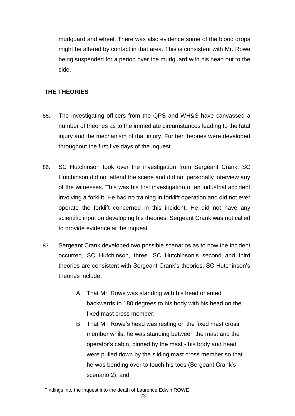mudguard and wheel. There was also evidence some of the blood drops might be altered by contact in that area. This is consistent with Mr. Rowe being suspended for a period over the mudguard with his head out to the side.

## **THE THEORIES**

- 85. The investigating officers from the QPS and WH&S have canvassed a number of theories as to the immediate circumstances leading to the fatal injury and the mechanism of that injury. Further theories were developed throughout the first five days of the inquest.
- 86. SC Hutchinson took over the investigation from Sergeant Crank. SC Hutchinson did not attend the scene and did not personally interview any of the witnesses. This was his first investigation of an industrial accident involving a forklift. He had no training in forklift operation and did not ever operate the forklift concerned in this incident. He did not have any scientific input on developing his theories. Sergeant Crank was not called to provide evidence at the inquest.
- 87. Sergeant Crank developed two possible scenarios as to how the incident occurred, SC Hutchinson, three. SC Hutchinson's second and third theories are consistent with Sergeant Crank's theories. SC Hutchinson's theories include:
	- A. That Mr. Rowe was standing with his head oriented backwards to 180 degrees to his body with his head on the fixed mast cross member;
	- B. That Mr. Rowe's head was resting on the fixed mast cross member whilst he was standing between the mast and the operator's cabin, pinned by the mast - his body and head were pulled down by the sliding mast cross member so that he was bending over to touch his toes (Sergeant Crank's scenario 2); and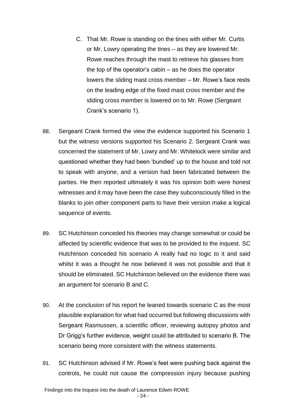- C. That Mr. Rowe is standing on the tines with either Mr. Curtis or Mr. Lowry operating the tines – as they are lowered Mr. Rowe reaches through the mast to retrieve his glasses from the top of the operator's cabin – as he does the operator lowers the sliding mast cross member – Mr. Rowe's face rests on the leading edge of the fixed mast cross member and the sliding cross member is lowered on to Mr. Rowe (Sergeant Crank's scenario 1).
- 88. Sergeant Crank formed the view the evidence supported his Scenario 1 but the witness versions supported his Scenario 2. Sergeant Crank was concerned the statement of Mr. Lowry and Mr. Whitelock were similar and questioned whether they had been 'bundled' up to the house and told not to speak with anyone, and a version had been fabricated between the parties. He then reported ultimately it was his opinion both were honest witnesses and it may have been the case they subconsciously filled in the blanks to join other component parts to have their version make a logical sequence of events.
- 89. SC Hutchinson conceded his theories may change somewhat or could be affected by scientific evidence that was to be provided to the inquest. SC Hutchinson conceded his scenario A really had no logic to it and said whilst it was a thought he now believed it was not possible and that it should be eliminated. SC Hutchinson believed on the evidence there was an argument for scenario B and C.
- 90. At the conclusion of his report he leaned towards scenario C as the most plausible explanation for what had occurred but following discussions with Sergeant Rasmussen, a scientific officer, reviewing autopsy photos and Dr Grigg's further evidence, weight could be attributed to scenario B. The scenario being more consistent with the witness statements.
- 91. SC Hutchinson advised if Mr. Rowe's feet were pushing back against the controls, he could not cause the compression injury because pushing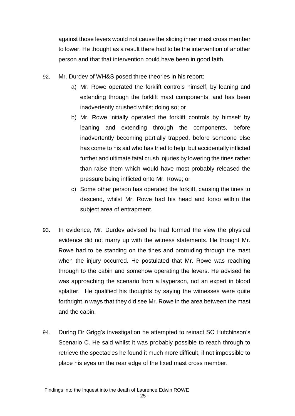against those levers would not cause the sliding inner mast cross member to lower. He thought as a result there had to be the intervention of another person and that that intervention could have been in good faith.

- 92. Mr. Durdev of WH&S posed three theories in his report:
	- a) Mr. Rowe operated the forklift controls himself, by leaning and extending through the forklift mast components, and has been inadvertently crushed whilst doing so; or
	- b) Mr. Rowe initially operated the forklift controls by himself by leaning and extending through the components, before inadvertently becoming partially trapped, before someone else has come to his aid who has tried to help, but accidentally inflicted further and ultimate fatal crush injuries by lowering the tines rather than raise them which would have most probably released the pressure being inflicted onto Mr. Rowe; or
	- c) Some other person has operated the forklift, causing the tines to descend, whilst Mr. Rowe had his head and torso within the subject area of entrapment.
- 93. In evidence, Mr. Durdev advised he had formed the view the physical evidence did not marry up with the witness statements. He thought Mr. Rowe had to be standing on the tines and protruding through the mast when the injury occurred. He postulated that Mr. Rowe was reaching through to the cabin and somehow operating the levers. He advised he was approaching the scenario from a layperson, not an expert in blood splatter. He qualified his thoughts by saying the witnesses were quite forthright in ways that they did see Mr. Rowe in the area between the mast and the cabin.
- 94. During Dr Grigg's investigation he attempted to reinact SC Hutchinson's Scenario C. He said whilst it was probably possible to reach through to retrieve the spectacles he found it much more difficult, if not impossible to place his eyes on the rear edge of the fixed mast cross member.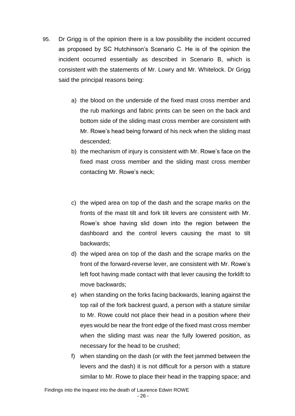- 95. Dr Grigg is of the opinion there is a low possibility the incident occurred as proposed by SC Hutchinson's Scenario C. He is of the opinion the incident occurred essentially as described in Scenario B, which is consistent with the statements of Mr. Lowry and Mr. Whitelock. Dr Grigg said the principal reasons being:
	- a) the blood on the underside of the fixed mast cross member and the rub markings and fabric prints can be seen on the back and bottom side of the sliding mast cross member are consistent with Mr. Rowe's head being forward of his neck when the sliding mast descended;
	- b) the mechanism of injury is consistent with Mr. Rowe's face on the fixed mast cross member and the sliding mast cross member contacting Mr. Rowe's neck;
	- c) the wiped area on top of the dash and the scrape marks on the fronts of the mast tilt and fork tilt levers are consistent with Mr. Rowe's shoe having slid down into the region between the dashboard and the control levers causing the mast to tilt backwards;
	- d) the wiped area on top of the dash and the scrape marks on the front of the forward-reverse lever, are consistent with Mr. Rowe's left foot having made contact with that lever causing the forklift to move backwards;
	- e) when standing on the forks facing backwards, leaning against the top rail of the fork backrest guard, a person with a stature similar to Mr. Rowe could not place their head in a position where their eyes would be near the front edge of the fixed mast cross member when the sliding mast was near the fully lowered position, as necessary for the head to be crushed;
	- f) when standing on the dash (or with the feet jammed between the levers and the dash) it is not difficult for a person with a stature similar to Mr. Rowe to place their head in the trapping space; and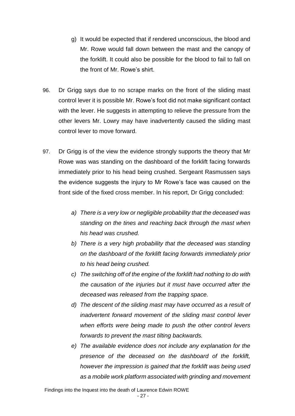- g) It would be expected that if rendered unconscious, the blood and Mr. Rowe would fall down between the mast and the canopy of the forklift. It could also be possible for the blood to fail to fall on the front of Mr. Rowe's shirt.
- 96. Dr Grigg says due to no scrape marks on the front of the sliding mast control lever it is possible Mr. Rowe's foot did not make significant contact with the lever. He suggests in attempting to relieve the pressure from the other levers Mr. Lowry may have inadvertently caused the sliding mast control lever to move forward.
- 97. Dr Grigg is of the view the evidence strongly supports the theory that Mr Rowe was was standing on the dashboard of the forklift facing forwards immediately prior to his head being crushed. Sergeant Rasmussen says the evidence suggests the injury to Mr Rowe's face was caused on the front side of the fixed cross member. In his report, Dr Grigg concluded:
	- *a) There is a very low or negligible probability that the deceased was standing on the tines and reaching back through the mast when his head was crushed.*
	- *b) There is a very high probability that the deceased was standing on the dashboard of the forklift facing forwards immediately prior to his head being crushed.*
	- *c) The switching off of the engine of the forklift had nothing to do with the causation of the injuries but it must have occurred after the deceased was released from the trapping space.*
	- *d) The descent of the sliding mast may have occurred as a result of inadvertent forward movement of the sliding mast control lever when efforts were being made to push the other control levers forwards to prevent the mast tilting backwards.*
	- *e) The available evidence does not include any explanation for the presence of the deceased on the dashboard of the forklift, however the impression is gained that the forklift was being used as a mobile work platform associated with grinding and movement*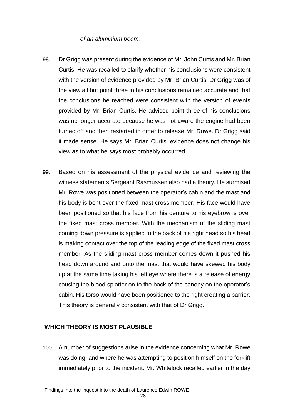#### *of an aluminium beam.*

- 98. Dr Grigg was present during the evidence of Mr. John Curtis and Mr. Brian Curtis. He was recalled to clarify whether his conclusions were consistent with the version of evidence provided by Mr. Brian Curtis. Dr Grigg was of the view all but point three in his conclusions remained accurate and that the conclusions he reached were consistent with the version of events provided by Mr. Brian Curtis. He advised point three of his conclusions was no longer accurate because he was not aware the engine had been turned off and then restarted in order to release Mr. Rowe. Dr Grigg said it made sense. He says Mr. Brian Curtis' evidence does not change his view as to what he says most probably occurred.
- 99. Based on his assessment of the physical evidence and reviewing the witness statements Sergeant Rasmussen also had a theory. He surmised Mr. Rowe was positioned between the operator's cabin and the mast and his body is bent over the fixed mast cross member. His face would have been positioned so that his face from his denture to his eyebrow is over the fixed mast cross member. With the mechanism of the sliding mast coming down pressure is applied to the back of his right head so his head is making contact over the top of the leading edge of the fixed mast cross member. As the sliding mast cross member comes down it pushed his head down around and onto the mast that would have skewed his body up at the same time taking his left eye where there is a release of energy causing the blood splatter on to the back of the canopy on the operator's cabin. His torso would have been positioned to the right creating a barrier. This theory is generally consistent with that of Dr Grigg.

### **WHICH THEORY IS MOST PLAUSIBLE**

100. A number of suggestions arise in the evidence concerning what Mr. Rowe was doing, and where he was attempting to position himself on the forklift immediately prior to the incident. Mr. Whitelock recalled earlier in the day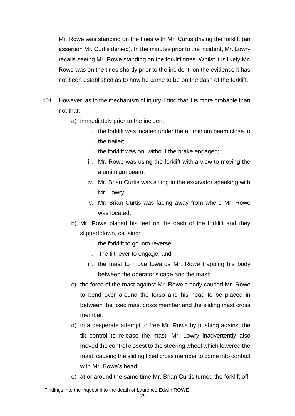Mr. Rowe was standing on the tines with Mr. Curtis driving the forklift (an assertion Mr. Curtis denied). In the minutes prior to the incident, Mr. Lowry recalls seeing Mr. Rowe standing on the forklift tines. Whilst it is likely Mr. Rowe was on the tines shortly prior to the incident, on the evidence it has not been established as to how he came to be on the dash of the forklift.

- 101. However, as to the mechanism of injury. I find that it is more probable than not that:
	- a) immediately prior to the incident:
		- i. the forklift was located under the aluminium beam close to the trailer;
		- ii. the forklift was on, without the brake engaged;
		- iii. Mr. Rowe was using the forklift with a view to moving the alumimium beam;
		- iv. Mr. Brian Curtis was sitting in the excavator speaking with Mr. Lowry;
		- v. Mr. Brian Curtis was facing away from where Mr. Rowe was located;
	- b) Mr. Rowe placed his feet on the dash of the forklift and they slipped down, causing:
		- i. the forklift to go into reverse;
		- ii. the tilt lever to engage; and
		- iii. the mast to move towards Mr. Rowe trapping his body between the operator's cage and the mast;
	- c) the force of the mast against Mr. Rowe's body caused Mr. Rowe to bend over around the torso and his head to be placed in between the fixed mast cross member and the sliding mast cross member;
	- d) in a desperate attempt to free Mr. Rowe by pushing against the tilt control to release the mast, Mr. Lowry inadvertently also moved the control closest to the steering wheel which lowered the mast, causing the sliding fixed cross member to come into contact with Mr. Rowe's head;
	- e) at or around the same time Mr. Brian Curtis turned the forklift off;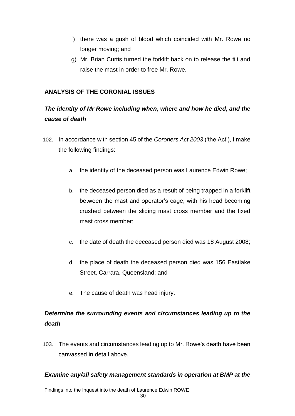- f) there was a gush of blood which coincided with Mr. Rowe no longer moving; and
- g) Mr. Brian Curtis turned the forklift back on to release the tilt and raise the mast in order to free Mr. Rowe.

## **ANALYSIS OF THE CORONIAL ISSUES**

## *The identity of Mr Rowe including when, where and how he died, and the cause of death*

- 102. In accordance with section 45 of the *Coroners Act 2003* ('the Act'), I make the following findings:
	- a. the identity of the deceased person was Laurence Edwin Rowe;
	- b. the deceased person died as a result of being trapped in a forklift between the mast and operator's cage, with his head becoming crushed between the sliding mast cross member and the fixed mast cross member;
	- c. the date of death the deceased person died was 18 August 2008;
	- d. the place of death the deceased person died was 156 Eastlake Street, Carrara, Queensland; and
	- e. The cause of death was head injury.

## *Determine the surrounding events and circumstances leading up to the death*

103. The events and circumstances leading up to Mr. Rowe's death have been canvassed in detail above.

### *Examine any/all safety management standards in operation at BMP at the*

Findings into the Inquest into the death of Laurence Edwin ROWE - 30 -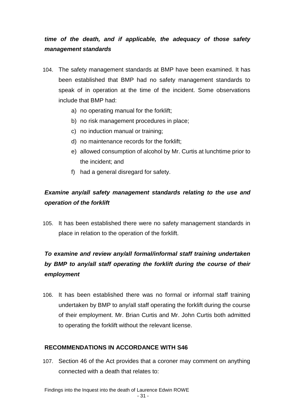## *time of the death, and if applicable, the adequacy of those safety management standards*

- 104. The safety management standards at BMP have been examined. It has been established that BMP had no safety management standards to speak of in operation at the time of the incident. Some observations include that BMP had:
	- a) no operating manual for the forklift;
	- b) no risk management procedures in place;
	- c) no induction manual or training;
	- d) no maintenance records for the forklift;
	- e) allowed consumption of alcohol by Mr. Curtis at lunchtime prior to the incident; and
	- f) had a general disregard for safety.

## *Examine any/all safety management standards relating to the use and operation of the forklift*

105. It has been established there were no safety management standards in place in relation to the operation of the forklift.

## *To examine and review any/all formal/informal staff training undertaken by BMP to any/all staff operating the forklift during the course of their employment*

106. It has been established there was no formal or informal staff training undertaken by BMP to any/all staff operating the forklift during the course of their employment. Mr. Brian Curtis and Mr. John Curtis both admitted to operating the forklift without the relevant license.

## **RECOMMENDATIONS IN ACCORDANCE WITH S46**

107. Section 46 of the Act provides that a coroner may comment on anything connected with a death that relates to: